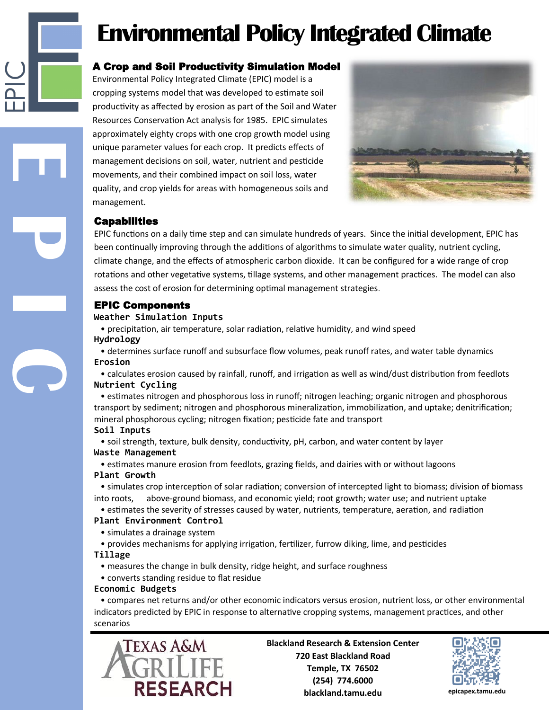# **Environmental Policy Integrated Climate**

### A Crop and Soil Productivity Simulation Model

Environmental Policy Integrated Climate (EPIC) model is a cropping systems model that was developed to estimate soil productivity as affected by erosion as part of the Soil and Water Resources Conservation Act analysis for 1985. EPIC simulates approximately eighty crops with one crop growth model using unique parameter values for each crop. It predicts effects of management decisions on soil, water, nutrient and pesticide movements, and their combined impact on soil loss, water quality, and crop yields for areas with homogeneous soils and management.



### **Capabilities**

**E P I C**

EPIC functions on a daily time step and can simulate hundreds of years. Since the initial development, EPIC has been continually improving through the additions of algorithms to simulate water quality, nutrient cycling, climate change, and the effects of atmospheric carbon dioxide. It can be configured for a wide range of crop rotations and other vegetative systems, tillage systems, and other management practices. The model can also assess the cost of erosion for determining optimal management strategies.

### EPIC Components

#### **Weather Simulation Inputs**

 • precipitation, air temperature, solar radiation, relative humidity, and wind speed **Hydrology**

 • determines surface runoff and subsurface flow volumes, peak runoff rates, and water table dynamics **Erosion**

 • calculates erosion caused by rainfall, runoff, and irrigation as well as wind/dust distribution from feedlots **Nutrient Cycling**

 • estimates nitrogen and phosphorous loss in runoff; nitrogen leaching; organic nitrogen and phosphorous transport by sediment; nitrogen and phosphorous mineralization, immobilization, and uptake; denitrification; mineral phosphorous cycling; nitrogen fixation; pesticide fate and transport

### **Soil Inputs**

 • soil strength, texture, bulk density, conductivity, pH, carbon, and water content by layer **Waste Management**

 • estimates manure erosion from feedlots, grazing fields, and dairies with or without lagoons **Plant Growth**

 • simulates crop interception of solar radiation; conversion of intercepted light to biomass; division of biomass into roots, above-ground biomass, and economic yield; root growth; water use; and nutrient uptake

• estimates the severity of stresses caused by water, nutrients, temperature, aeration, and radiation

### **Plant Environment Control**

- simulates a drainage system
- provides mechanisms for applying irrigation, fertilizer, furrow diking, lime, and pesticides

### **Tillage**

- measures the change in bulk density, ridge height, and surface roughness
- converts standing residue to flat residue

### **Economic Budgets**

 • compares net returns and/or other economic indicators versus erosion, nutrient loss, or other environmental indicators predicted by EPIC in response to alternative cropping systems, management practices, and other scenarios



**Blackland Research & Extension Center 720 East Blackland Road Temple, TX 76502 (254) 774.6000 blackland.tamu.edu epicapex.tamu.edu**